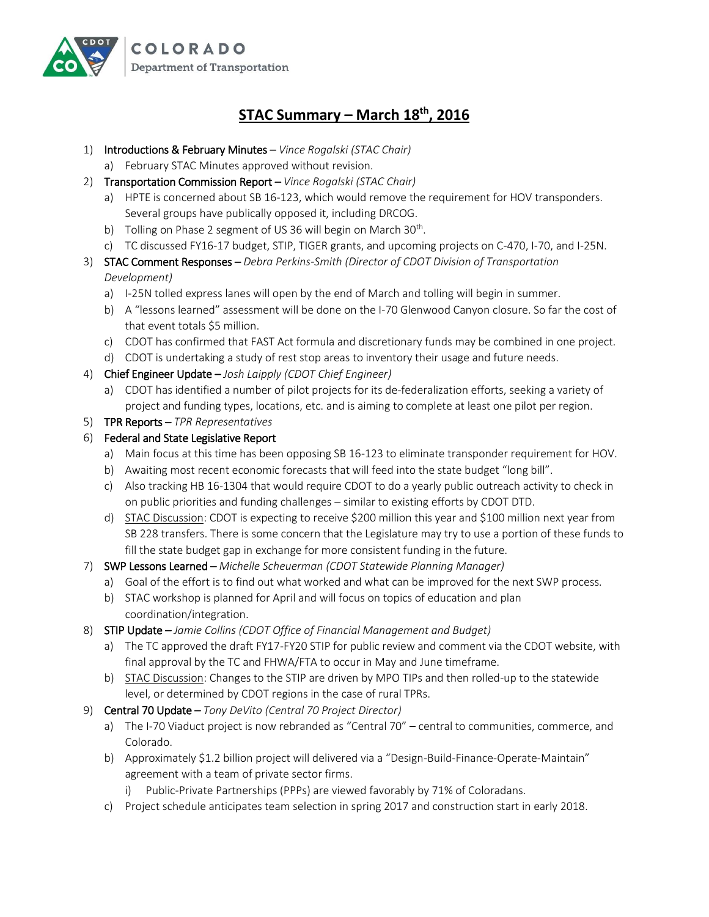

## **STAC Summary – March 18th, 2016**

- 1) Introductions & February Minutes *Vince Rogalski (STAC Chair)*
	- a) February STAC Minutes approved without revision.
- 2) Transportation Commission Report *Vince Rogalski (STAC Chair)*
	- a) HPTE is concerned about SB 16-123, which would remove the requirement for HOV transponders. Several groups have publically opposed it, including DRCOG.
	- b) Tolling on Phase 2 segment of US 36 will begin on March 30<sup>th</sup>.
	- c) TC discussed FY16-17 budget, STIP, TIGER grants, and upcoming projects on C-470, I-70, and I-25N.
- 3) STAC Comment Responses *Debra Perkins-Smith (Director of CDOT Division of Transportation Development)*
	- a) I-25N tolled express lanes will open by the end of March and tolling will begin in summer.
	- b) A "lessons learned" assessment will be done on the I-70 Glenwood Canyon closure. So far the cost of that event totals \$5 million.
	- c) CDOT has confirmed that FAST Act formula and discretionary funds may be combined in one project.
	- d) CDOT is undertaking a study of rest stop areas to inventory their usage and future needs.
- 4) Chief Engineer Update *Josh Laipply (CDOT Chief Engineer)*
	- a) CDOT has identified a number of pilot projects for its de-federalization efforts, seeking a variety of project and funding types, locations, etc. and is aiming to complete at least one pilot per region.
- 5) TPR Reports *TPR Representatives*

## 6) Federal and State Legislative Report

- a) Main focus at this time has been opposing SB 16-123 to eliminate transponder requirement for HOV.
- b) Awaiting most recent economic forecasts that will feed into the state budget "long bill".
- c) Also tracking HB 16-1304 that would require CDOT to do a yearly public outreach activity to check in on public priorities and funding challenges – similar to existing efforts by CDOT DTD.
- d) STAC Discussion: CDOT is expecting to receive \$200 million this year and \$100 million next year from SB 228 transfers. There is some concern that the Legislature may try to use a portion of these funds to fill the state budget gap in exchange for more consistent funding in the future.
- 7) SWP Lessons Learned *Michelle Scheuerman (CDOT Statewide Planning Manager)*
	- a) Goal of the effort is to find out what worked and what can be improved for the next SWP process.
	- b) STAC workshop is planned for April and will focus on topics of education and plan coordination/integration.
- 8) STIP Update *Jamie Collins (CDOT Office of Financial Management and Budget)*
	- a) The TC approved the draft FY17-FY20 STIP for public review and comment via the CDOT website, with final approval by the TC and FHWA/FTA to occur in May and June timeframe.
	- b) STAC Discussion: Changes to the STIP are driven by MPO TIPs and then rolled-up to the statewide level, or determined by CDOT regions in the case of rural TPRs.
- 9) Central 70 Update *Tony DeVito (Central 70 Project Director)*
	- a) The I-70 Viaduct project is now rebranded as "Central 70" central to communities, commerce, and Colorado.
	- b) Approximately \$1.2 billion project will delivered via a "Design-Build-Finance-Operate-Maintain" agreement with a team of private sector firms.
		- i) Public-Private Partnerships (PPPs) are viewed favorably by 71% of Coloradans.
	- c) Project schedule anticipates team selection in spring 2017 and construction start in early 2018.